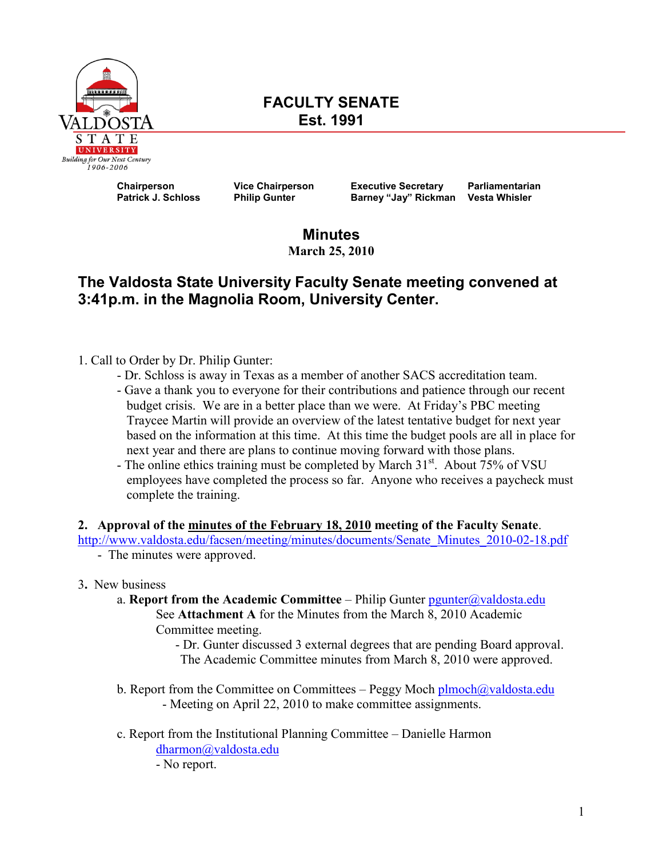

# **FACULTY SENATE Est. 1991**

 **Chairperson Vice Chairperson Executive Secretary Parliamentarian Barney "Jay" Rickman** Vesta Whisler

**Minutes March 25, 2010** 

# **The Valdosta State University Faculty Senate meeting convened at 3:41p.m. in the Magnolia Room, University Center.**

- 1. Call to Order by Dr. Philip Gunter:
	- Dr. Schloss is away in Texas as a member of another SACS accreditation team.
	- Gave a thank you to everyone for their contributions and patience through our recent budget crisis. We are in a better place than we were. At Friday's PBC meeting Traycee Martin will provide an overview of the latest tentative budget for next year based on the information at this time. At this time the budget pools are all in place for next year and there are plans to continue moving forward with those plans.
	- The online ethics training must be completed by March 31<sup>st</sup>. About 75% of VSU employees have completed the process so far. Anyone who receives a paycheck must complete the training.

# **2. Approval of the minutes of the February 18, 2010 meeting of the Faculty Senate**.

[http://www.valdosta.edu/facsen/meeting/minutes/documents/Senate\\_Minutes\\_2010-02-18.pdf](http://www.valdosta.edu/facsen/meeting/minutes/documents/Senate_Minutes_2010-02-18.pdf)

- The minutes were approved.
- 3**.** New business
	- a. **Report from the Academic Committee** Philip Gunter  $\frac{p$ gunter $\omega$ valdosta.edu See **Attachment A** for the Minutes from the March 8, 2010 Academic Committee meeting.
		- Dr. Gunter discussed 3 external degrees that are pending Board approval. The Academic Committee minutes from March 8, 2010 were approved.
	- b. Report from the Committee on Committees Peggy Moch [plmoch@valdosta.edu](mailto:plmoch@valdosta.edu) - Meeting on April 22, 2010 to make committee assignments.
	- c. Report from the Institutional Planning Committee Danielle Harmon [dharmon@valdosta.edu](mailto:dharmon@valdosta.edu)  - No report.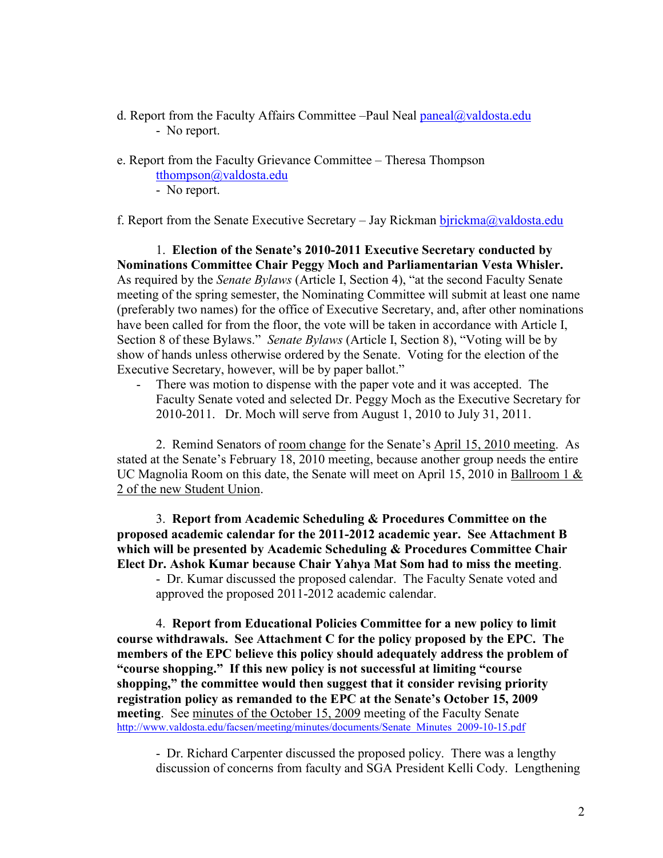- d. Report from the Faculty Affairs Committee –Paul Neal [paneal@valdosta.edu](mailto:paneal@valdosta.edu) - No report.
- e. Report from the Faculty Grievance Committee Theresa Thompson
	- [tthompson@valdosta.edu](mailto:tthompson@valdosta.edu)
	- No report.

f. Report from the Senate Executive Secretary – Jay Rickman birickma@valdosta.edu

1. **Election of the Senate's 2010-2011 Executive Secretary conducted by Nominations Committee Chair Peggy Moch and Parliamentarian Vesta Whisler.** As required by the *Senate Bylaws* (Article I, Section 4), "at the second Faculty Senate meeting of the spring semester, the Nominating Committee will submit at least one name (preferably two names) for the office of Executive Secretary, and, after other nominations have been called for from the floor, the vote will be taken in accordance with Article I, Section 8 of these Bylaws." *Senate Bylaws* (Article I, Section 8), "Voting will be by show of hands unless otherwise ordered by the Senate. Voting for the election of the Executive Secretary, however, will be by paper ballot."

There was motion to dispense with the paper vote and it was accepted. The Faculty Senate voted and selected Dr. Peggy Moch as the Executive Secretary for 2010-2011. Dr. Moch will serve from August 1, 2010 to July 31, 2011.

2. Remind Senators of room change for the Senate's April 15, 2010 meeting. As stated at the Senate's February 18, 2010 meeting, because another group needs the entire UC Magnolia Room on this date, the Senate will meet on April 15, 2010 in Ballroom 1 & 2 of the new Student Union.

 3. **Report from Academic Scheduling & Procedures Committee on the proposed academic calendar for the 2011-2012 academic year. See Attachment B which will be presented by Academic Scheduling & Procedures Committee Chair Elect Dr. Ashok Kumar because Chair Yahya Mat Som had to miss the meeting**.

- Dr. Kumar discussed the proposed calendar. The Faculty Senate voted and approved the proposed 2011-2012 academic calendar.

 4. **Report from Educational Policies Committee for a new policy to limit course withdrawals. See Attachment C for the policy proposed by the EPC. The members of the EPC believe this policy should adequately address the problem of "course shopping." If this new policy is not successful at limiting "course shopping," the committee would then suggest that it consider revising priority registration policy as remanded to the EPC at the Senate's October 15, 2009 meeting**. See minutes of the October 15, 2009 meeting of the Faculty Senate [http://www.valdosta.edu/facsen/meeting/minutes/documents/Senate\\_Minutes\\_2009-10-15.pdf](http://www.valdosta.edu/facsen/meeting/minutes/documents/Senate_Minutes_2009-10-15.pdf)

- Dr. Richard Carpenter discussed the proposed policy. There was a lengthy discussion of concerns from faculty and SGA President Kelli Cody. Lengthening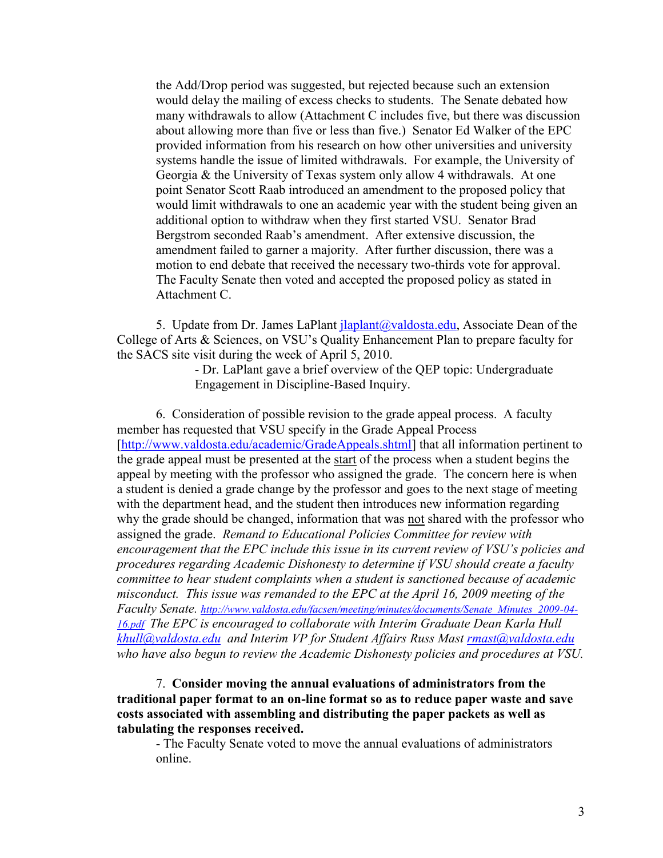the Add/Drop period was suggested, but rejected because such an extension would delay the mailing of excess checks to students. The Senate debated how many withdrawals to allow (Attachment C includes five, but there was discussion about allowing more than five or less than five.) Senator Ed Walker of the EPC provided information from his research on how other universities and university systems handle the issue of limited withdrawals. For example, the University of Georgia & the University of Texas system only allow 4 withdrawals. At one point Senator Scott Raab introduced an amendment to the proposed policy that would limit withdrawals to one an academic year with the student being given an additional option to withdraw when they first started VSU. Senator Brad Bergstrom seconded Raab's amendment. After extensive discussion, the amendment failed to garner a majority. After further discussion, there was a motion to end debate that received the necessary two-thirds vote for approval. The Faculty Senate then voted and accepted the proposed policy as stated in Attachment C.

5. Update from Dr. James LaPlant  $\text{ilaplant}(Q\text{valdosta.edu}, \text{Associate Dean of the})$  College of Arts & Sciences, on VSU's Quality Enhancement Plan to prepare faculty for the SACS site visit during the week of April 5, 2010.

> - Dr. LaPlant gave a brief overview of the QEP topic: Undergraduate Engagement in Discipline-Based Inquiry.

 6. Consideration of possible revision to the grade appeal process. A faculty member has requested that VSU specify in the Grade Appeal Process [\[http://www.valdosta.edu/academic/GradeAppeals.shtml\]](http://www.valdosta.edu/academic/GradeAppeals.shtml) that all information pertinent to the grade appeal must be presented at the start of the process when a student begins the appeal by meeting with the professor who assigned the grade. The concern here is when a student is denied a grade change by the professor and goes to the next stage of meeting with the department head, and the student then introduces new information regarding why the grade should be changed, information that was not shared with the professor who assigned the grade. *Remand to Educational Policies Committee for review with encouragement that the EPC include this issue in its current review of VSU's policies and procedures regarding Academic Dishonesty to determine if VSU should create a faculty committee to hear student complaints when a student is sanctioned because of academic misconduct. This issue was remanded to the EPC at the April 16, 2009 meeting of the Faculty Senate. [http://www.valdosta.edu/facsen/meeting/minutes/documents/Senate\\_Minutes\\_2009-04-](http://www.valdosta.edu/facsen/meeting/minutes/documents/Senate_Minutes_2009-04-16.pdf)  [16.pdf](http://www.valdosta.edu/facsen/meeting/minutes/documents/Senate_Minutes_2009-04-16.pdf) The EPC is encouraged to collaborate with Interim Graduate Dean Karla Hull [khull@valdosta.edu](mailto:khull@valdosta.edu) and Interim VP for Student Affairs Russ Mast [rmast@valdosta.edu](mailto:rmast@valdosta.edu)  who have also begun to review the Academic Dishonesty policies and procedures at VSU.*

 7. **Consider moving the annual evaluations of administrators from the traditional paper format to an on-line format so as to reduce paper waste and save costs associated with assembling and distributing the paper packets as well as tabulating the responses received.** 

- The Faculty Senate voted to move the annual evaluations of administrators online.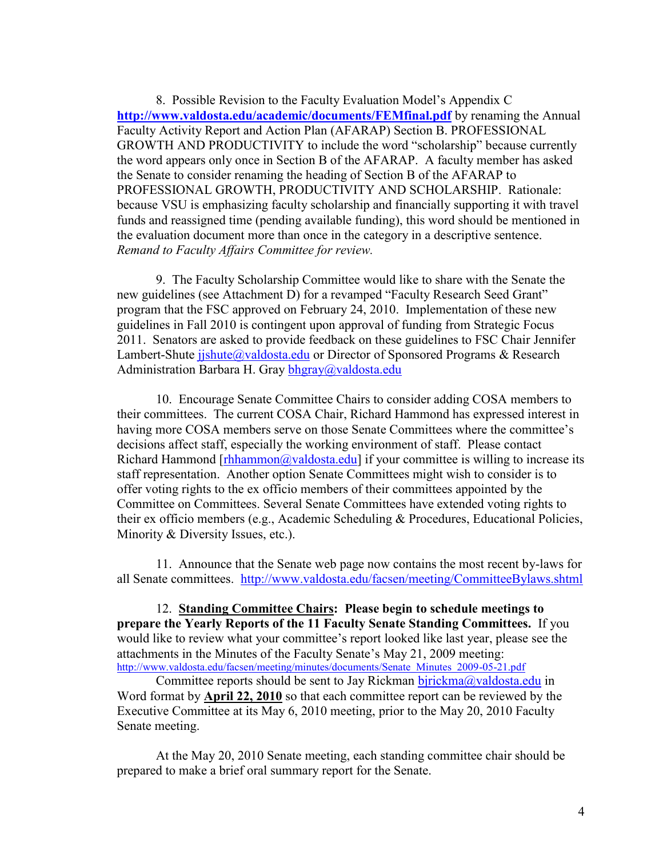8. Possible Revision to the Faculty Evaluation Model's Appendix C **<http://www.valdosta.edu/academic/documents/FEMfinal.pdf>** by renaming the Annual Faculty Activity Report and Action Plan (AFARAP) Section B. PROFESSIONAL GROWTH AND PRODUCTIVITY to include the word "scholarship" because currently the word appears only once in Section B of the AFARAP. A faculty member has asked the Senate to consider renaming the heading of Section B of the AFARAP to PROFESSIONAL GROWTH, PRODUCTIVITY AND SCHOLARSHIP. Rationale: because VSU is emphasizing faculty scholarship and financially supporting it with travel funds and reassigned time (pending available funding), this word should be mentioned in the evaluation document more than once in the category in a descriptive sentence.  *Remand to Faculty Affairs Committee for review.*

 9. The Faculty Scholarship Committee would like to share with the Senate the new guidelines (see Attachment D) for a revamped "Faculty Research Seed Grant" program that the FSC approved on February 24, 2010. Implementation of these new guidelines in Fall 2010 is contingent upon approval of funding from Strategic Focus 2011. Senators are asked to provide feedback on these guidelines to FSC Chair Jennifer Lambert-Shute jishute@valdosta.edu or Director of Sponsored Programs & Research Administration Barbara H. Gray bhgray@valdosta.edu

 10. Encourage Senate Committee Chairs to consider adding COSA members to their committees. The current COSA Chair, Richard Hammond has expressed interest in having more COSA members serve on those Senate Committees where the committee's decisions affect staff, especially the working environment of staff. Please contact Richard Hammond  $[rhhammon@valdosta.edu]$  if your committee is willing to increase its staff representation. Another option Senate Committees might wish to consider is to offer voting rights to the ex officio members of their committees appointed by the Committee on Committees. Several Senate Committees have extended voting rights to their ex officio members (e.g., Academic Scheduling & Procedures, Educational Policies, Minority & Diversity Issues, etc.).

 11. Announce that the Senate web page now contains the most recent by-laws for all Senate committees. <http://www.valdosta.edu/facsen/meeting/CommitteeBylaws.shtml>

 12. **Standing Committee Chairs: Please begin to schedule meetings to prepare the Yearly Reports of the 11 Faculty Senate Standing Committees.** If you would like to review what your committee's report looked like last year, please see the attachments in the Minutes of the Faculty Senate's May 21, 2009 meeting: http://www.valdosta.edu/facsen/meeting/minutes/documents/Senate\_Minutes\_2009-05-21.pdf

Committee reports should be sent to Jay Rickman [bjrickma@valdosta.edu](mailto:bjrickma@valdosta.edu) in Word format by **April 22, 2010** so that each committee report can be reviewed by the Executive Committee at its May 6, 2010 meeting, prior to the May 20, 2010 Faculty Senate meeting.

 At the May 20, 2010 Senate meeting, each standing committee chair should be prepared to make a brief oral summary report for the Senate.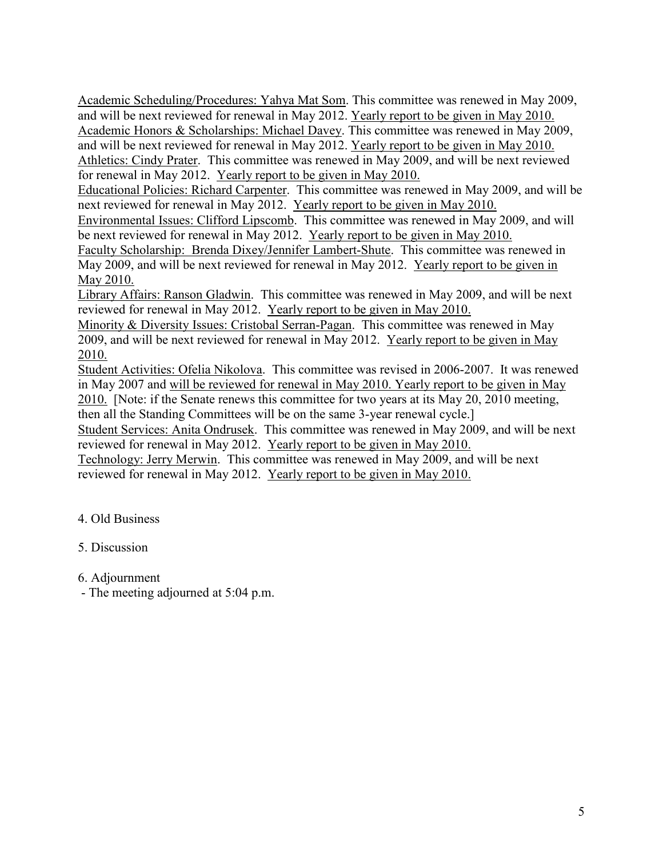Academic Scheduling/Procedures: Yahya Mat Som. This committee was renewed in May 2009, and will be next reviewed for renewal in May 2012. Yearly report to be given in May 2010. Academic Honors & Scholarships: Michael Davey. This committee was renewed in May 2009, and will be next reviewed for renewal in May 2012. Yearly report to be given in May 2010. Athletics: Cindy Prater. This committee was renewed in May 2009, and will be next reviewed for renewal in May 2012. Yearly report to be given in May 2010.

Educational Policies: Richard Carpenter. This committee was renewed in May 2009, and will be next reviewed for renewal in May 2012. Yearly report to be given in May 2010.

Environmental Issues: Clifford Lipscomb. This committee was renewed in May 2009, and will be next reviewed for renewal in May 2012. Yearly report to be given in May 2010.

Faculty Scholarship: Brenda Dixey/Jennifer Lambert-Shute. This committee was renewed in May 2009, and will be next reviewed for renewal in May 2012. Yearly report to be given in May 2010.

Library Affairs: Ranson Gladwin. This committee was renewed in May 2009, and will be next reviewed for renewal in May 2012. Yearly report to be given in May 2010.

Minority & Diversity Issues: Cristobal Serran-Pagan. This committee was renewed in May 2009, and will be next reviewed for renewal in May 2012. Yearly report to be given in May 2010.

Student Activities: Ofelia Nikolova. This committee was revised in 2006-2007. It was renewed in May 2007 and will be reviewed for renewal in May 2010. Yearly report to be given in May

2010. [Note: if the Senate renews this committee for two years at its May 20, 2010 meeting, then all the Standing Committees will be on the same 3-year renewal cycle.]

Student Services: Anita Ondrusek. This committee was renewed in May 2009, and will be next reviewed for renewal in May 2012. Yearly report to be given in May 2010.

Technology: Jerry Merwin. This committee was renewed in May 2009, and will be next reviewed for renewal in May 2012. Yearly report to be given in May 2010.

# 4. Old Business

# 5. Discussion

6. Adjournment

- The meeting adjourned at 5:04 p.m.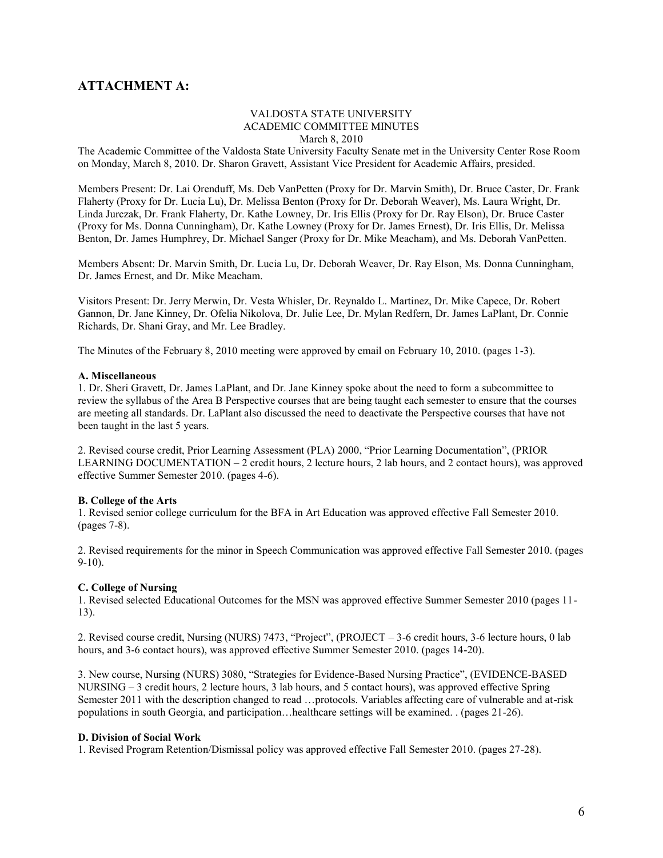# **ATTACHMENT A:**

#### VALDOSTA STATE UNIVERSITY ACADEMIC COMMITTEE MINUTES March 8, 2010

The Academic Committee of the Valdosta State University Faculty Senate met in the University Center Rose Room on Monday, March 8, 2010. Dr. Sharon Gravett, Assistant Vice President for Academic Affairs, presided.

Members Present: Dr. Lai Orenduff, Ms. Deb VanPetten (Proxy for Dr. Marvin Smith), Dr. Bruce Caster, Dr. Frank Flaherty (Proxy for Dr. Lucia Lu), Dr. Melissa Benton (Proxy for Dr. Deborah Weaver), Ms. Laura Wright, Dr. Linda Jurczak, Dr. Frank Flaherty, Dr. Kathe Lowney, Dr. Iris Ellis (Proxy for Dr. Ray Elson), Dr. Bruce Caster (Proxy for Ms. Donna Cunningham), Dr. Kathe Lowney (Proxy for Dr. James Ernest), Dr. Iris Ellis, Dr. Melissa Benton, Dr. James Humphrey, Dr. Michael Sanger (Proxy for Dr. Mike Meacham), and Ms. Deborah VanPetten.

Members Absent: Dr. Marvin Smith, Dr. Lucia Lu, Dr. Deborah Weaver, Dr. Ray Elson, Ms. Donna Cunningham, Dr. James Ernest, and Dr. Mike Meacham.

Visitors Present: Dr. Jerry Merwin, Dr. Vesta Whisler, Dr. Reynaldo L. Martinez, Dr. Mike Capece, Dr. Robert Gannon, Dr. Jane Kinney, Dr. Ofelia Nikolova, Dr. Julie Lee, Dr. Mylan Redfern, Dr. James LaPlant, Dr. Connie Richards, Dr. Shani Gray, and Mr. Lee Bradley.

The Minutes of the February 8, 2010 meeting were approved by email on February 10, 2010. (pages 1-3).

#### **A. Miscellaneous**

1. Dr. Sheri Gravett, Dr. James LaPlant, and Dr. Jane Kinney spoke about the need to form a subcommittee to review the syllabus of the Area B Perspective courses that are being taught each semester to ensure that the courses are meeting all standards. Dr. LaPlant also discussed the need to deactivate the Perspective courses that have not been taught in the last 5 years.

2. Revised course credit, Prior Learning Assessment (PLA) 2000, "Prior Learning Documentation", (PRIOR LEARNING DOCUMENTATION – 2 credit hours, 2 lecture hours, 2 lab hours, and 2 contact hours), was approved effective Summer Semester 2010. (pages 4-6).

#### **B. College of the Arts**

1. Revised senior college curriculum for the BFA in Art Education was approved effective Fall Semester 2010. (pages 7-8).

2. Revised requirements for the minor in Speech Communication was approved effective Fall Semester 2010. (pages 9-10).

#### **C. College of Nursing**

1. Revised selected Educational Outcomes for the MSN was approved effective Summer Semester 2010 (pages 11- 13).

2. Revised course credit, Nursing (NURS) 7473, "Project", (PROJECT – 3-6 credit hours, 3-6 lecture hours, 0 lab hours, and 3-6 contact hours), was approved effective Summer Semester 2010. (pages 14-20).

3. New course, Nursing (NURS) 3080, "Strategies for Evidence-Based Nursing Practice", (EVIDENCE-BASED NURSING – 3 credit hours, 2 lecture hours, 3 lab hours, and 5 contact hours), was approved effective Spring Semester 2011 with the description changed to read …protocols. Variables affecting care of vulnerable and at-risk populations in south Georgia, and participation…healthcare settings will be examined. . (pages 21-26).

#### **D. Division of Social Work**

1. Revised Program Retention/Dismissal policy was approved effective Fall Semester 2010. (pages 27-28).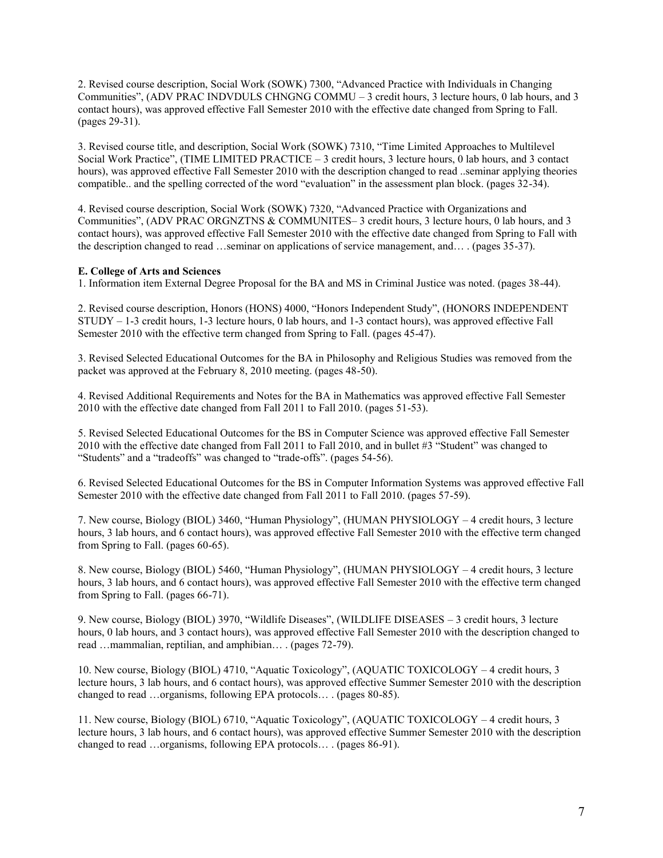2. Revised course description, Social Work (SOWK) 7300, "Advanced Practice with Individuals in Changing Communities", (ADV PRAC INDVDULS CHNGNG COMMU – 3 credit hours, 3 lecture hours, 0 lab hours, and 3 contact hours), was approved effective Fall Semester 2010 with the effective date changed from Spring to Fall. (pages 29-31).

3. Revised course title, and description, Social Work (SOWK) 7310, "Time Limited Approaches to Multilevel Social Work Practice", (TIME LIMITED PRACTICE – 3 credit hours, 3 lecture hours, 0 lab hours, and 3 contact hours), was approved effective Fall Semester 2010 with the description changed to read ..seminar applying theories compatible.. and the spelling corrected of the word "evaluation" in the assessment plan block. (pages 32-34).

4. Revised course description, Social Work (SOWK) 7320, "Advanced Practice with Organizations and Communities", (ADV PRAC ORGNZTNS & COMMUNITES– 3 credit hours, 3 lecture hours, 0 lab hours, and 3 contact hours), was approved effective Fall Semester 2010 with the effective date changed from Spring to Fall with the description changed to read …seminar on applications of service management, and… . (pages 35-37).

#### **E. College of Arts and Sciences**

1. Information item External Degree Proposal for the BA and MS in Criminal Justice was noted. (pages 38-44).

2. Revised course description, Honors (HONS) 4000, "Honors Independent Study", (HONORS INDEPENDENT STUDY – 1-3 credit hours, 1-3 lecture hours, 0 lab hours, and 1-3 contact hours), was approved effective Fall Semester 2010 with the effective term changed from Spring to Fall. (pages 45-47).

3. Revised Selected Educational Outcomes for the BA in Philosophy and Religious Studies was removed from the packet was approved at the February 8, 2010 meeting. (pages 48-50).

4. Revised Additional Requirements and Notes for the BA in Mathematics was approved effective Fall Semester 2010 with the effective date changed from Fall 2011 to Fall 2010. (pages 51-53).

5. Revised Selected Educational Outcomes for the BS in Computer Science was approved effective Fall Semester 2010 with the effective date changed from Fall 2011 to Fall 2010, and in bullet #3 "Student" was changed to "Students" and a "tradeoffs" was changed to "trade-offs". (pages 54-56).

6. Revised Selected Educational Outcomes for the BS in Computer Information Systems was approved effective Fall Semester 2010 with the effective date changed from Fall 2011 to Fall 2010. (pages 57-59).

7. New course, Biology (BIOL) 3460, "Human Physiology", (HUMAN PHYSIOLOGY – 4 credit hours, 3 lecture hours, 3 lab hours, and 6 contact hours), was approved effective Fall Semester 2010 with the effective term changed from Spring to Fall. (pages 60-65).

8. New course, Biology (BIOL) 5460, "Human Physiology", (HUMAN PHYSIOLOGY – 4 credit hours, 3 lecture hours, 3 lab hours, and 6 contact hours), was approved effective Fall Semester 2010 with the effective term changed from Spring to Fall. (pages 66-71).

9. New course, Biology (BIOL) 3970, "Wildlife Diseases", (WILDLIFE DISEASES – 3 credit hours, 3 lecture hours, 0 lab hours, and 3 contact hours), was approved effective Fall Semester 2010 with the description changed to read …mammalian, reptilian, and amphibian… . (pages 72-79).

10. New course, Biology (BIOL) 4710, "Aquatic Toxicology", (AQUATIC TOXICOLOGY – 4 credit hours, 3 lecture hours, 3 lab hours, and 6 contact hours), was approved effective Summer Semester 2010 with the description changed to read …organisms, following EPA protocols… . (pages 80-85).

11. New course, Biology (BIOL) 6710, "Aquatic Toxicology", (AQUATIC TOXICOLOGY – 4 credit hours, 3 lecture hours, 3 lab hours, and 6 contact hours), was approved effective Summer Semester 2010 with the description changed to read …organisms, following EPA protocols… . (pages 86-91).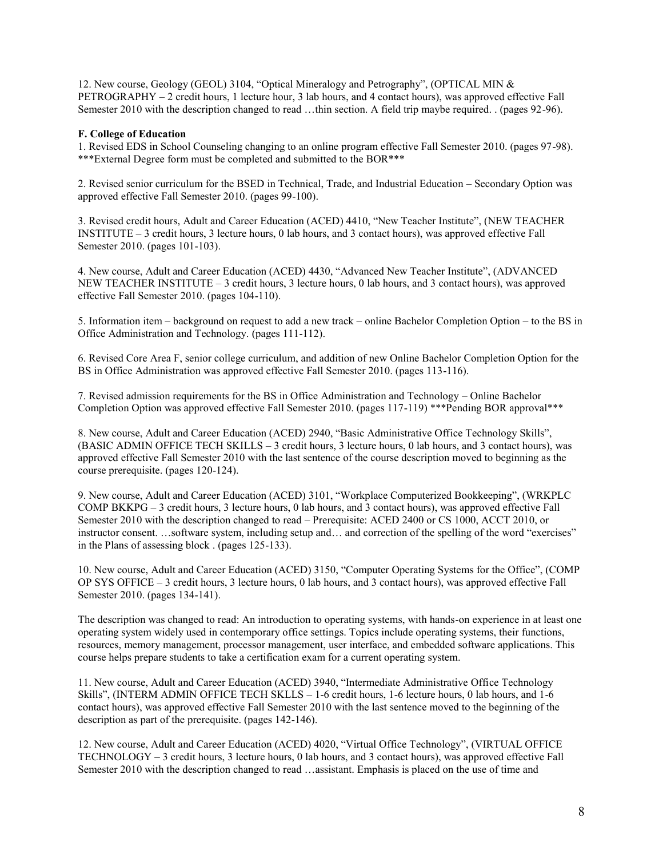12. New course, Geology (GEOL) 3104, "Optical Mineralogy and Petrography", (OPTICAL MIN & PETROGRAPHY – 2 credit hours, 1 lecture hour, 3 lab hours, and 4 contact hours), was approved effective Fall Semester 2010 with the description changed to read …thin section. A field trip maybe required. . (pages 92-96).

#### **F. College of Education**

1. Revised EDS in School Counseling changing to an online program effective Fall Semester 2010. (pages 97-98). \*\*\*External Degree form must be completed and submitted to the BOR\*\*\*

2. Revised senior curriculum for the BSED in Technical, Trade, and Industrial Education – Secondary Option was approved effective Fall Semester 2010. (pages 99-100).

3. Revised credit hours, Adult and Career Education (ACED) 4410, "New Teacher Institute", (NEW TEACHER INSTITUTE – 3 credit hours, 3 lecture hours, 0 lab hours, and 3 contact hours), was approved effective Fall Semester 2010. (pages 101-103).

4. New course, Adult and Career Education (ACED) 4430, "Advanced New Teacher Institute", (ADVANCED NEW TEACHER INSTITUTE – 3 credit hours, 3 lecture hours, 0 lab hours, and 3 contact hours), was approved effective Fall Semester 2010. (pages 104-110).

5. Information item – background on request to add a new track – online Bachelor Completion Option – to the BS in Office Administration and Technology. (pages 111-112).

6. Revised Core Area F, senior college curriculum, and addition of new Online Bachelor Completion Option for the BS in Office Administration was approved effective Fall Semester 2010. (pages 113-116).

7. Revised admission requirements for the BS in Office Administration and Technology – Online Bachelor Completion Option was approved effective Fall Semester 2010. (pages 117-119) \*\*\*Pending BOR approval\*\*\*

8. New course, Adult and Career Education (ACED) 2940, "Basic Administrative Office Technology Skills", (BASIC ADMIN OFFICE TECH SKILLS – 3 credit hours, 3 lecture hours, 0 lab hours, and 3 contact hours), was approved effective Fall Semester 2010 with the last sentence of the course description moved to beginning as the course prerequisite. (pages 120-124).

9. New course, Adult and Career Education (ACED) 3101, "Workplace Computerized Bookkeeping", (WRKPLC COMP BKKPG – 3 credit hours, 3 lecture hours, 0 lab hours, and 3 contact hours), was approved effective Fall Semester 2010 with the description changed to read – Prerequisite: ACED 2400 or CS 1000, ACCT 2010, or instructor consent. …software system, including setup and… and correction of the spelling of the word "exercises" in the Plans of assessing block . (pages 125-133).

10. New course, Adult and Career Education (ACED) 3150, "Computer Operating Systems for the Office", (COMP OP SYS OFFICE – 3 credit hours, 3 lecture hours, 0 lab hours, and 3 contact hours), was approved effective Fall Semester 2010. (pages 134-141).

The description was changed to read: An introduction to operating systems, with hands-on experience in at least one operating system widely used in contemporary office settings. Topics include operating systems, their functions, resources, memory management, processor management, user interface, and embedded software applications. This course helps prepare students to take a certification exam for a current operating system.

11. New course, Adult and Career Education (ACED) 3940, "Intermediate Administrative Office Technology Skills", (INTERM ADMIN OFFICE TECH SKLLS – 1-6 credit hours, 1-6 lecture hours, 0 lab hours, and 1-6 contact hours), was approved effective Fall Semester 2010 with the last sentence moved to the beginning of the description as part of the prerequisite. (pages 142-146).

12. New course, Adult and Career Education (ACED) 4020, "Virtual Office Technology", (VIRTUAL OFFICE TECHNOLOGY – 3 credit hours, 3 lecture hours, 0 lab hours, and 3 contact hours), was approved effective Fall Semester 2010 with the description changed to read …assistant. Emphasis is placed on the use of time and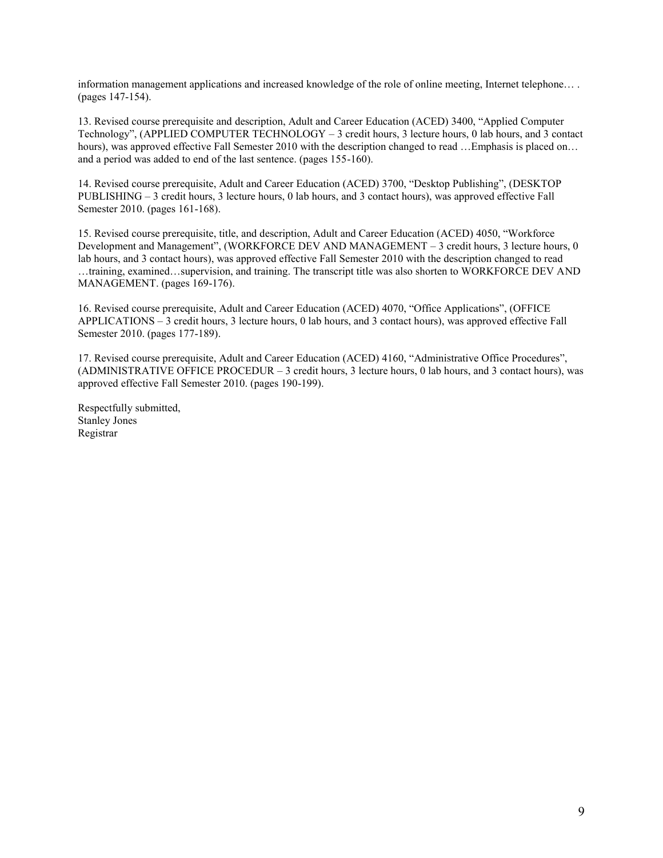information management applications and increased knowledge of the role of online meeting, Internet telephone… . (pages 147-154).

13. Revised course prerequisite and description, Adult and Career Education (ACED) 3400, "Applied Computer Technology", (APPLIED COMPUTER TECHNOLOGY – 3 credit hours, 3 lecture hours, 0 lab hours, and 3 contact hours), was approved effective Fall Semester 2010 with the description changed to read …Emphasis is placed on… and a period was added to end of the last sentence. (pages 155-160).

14. Revised course prerequisite, Adult and Career Education (ACED) 3700, "Desktop Publishing", (DESKTOP PUBLISHING – 3 credit hours, 3 lecture hours, 0 lab hours, and 3 contact hours), was approved effective Fall Semester 2010. (pages 161-168).

15. Revised course prerequisite, title, and description, Adult and Career Education (ACED) 4050, "Workforce Development and Management", (WORKFORCE DEV AND MANAGEMENT – 3 credit hours, 3 lecture hours, 0 lab hours, and 3 contact hours), was approved effective Fall Semester 2010 with the description changed to read …training, examined…supervision, and training. The transcript title was also shorten to WORKFORCE DEV AND MANAGEMENT. (pages 169-176).

16. Revised course prerequisite, Adult and Career Education (ACED) 4070, "Office Applications", (OFFICE APPLICATIONS – 3 credit hours, 3 lecture hours, 0 lab hours, and 3 contact hours), was approved effective Fall Semester 2010. (pages 177-189).

17. Revised course prerequisite, Adult and Career Education (ACED) 4160, "Administrative Office Procedures", (ADMINISTRATIVE OFFICE PROCEDUR – 3 credit hours, 3 lecture hours, 0 lab hours, and 3 contact hours), was approved effective Fall Semester 2010. (pages 190-199).

Respectfully submitted, Stanley Jones Registrar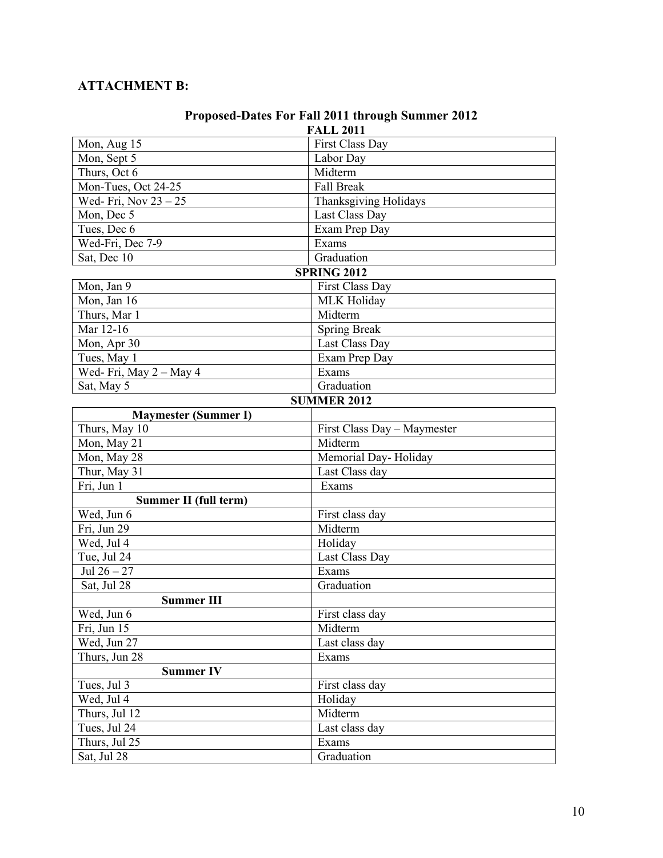# **ATTACHMENT B:**

| Troposed-Dates For Pail 2011 through Summer 2012<br><b>FALL 2011</b> |                             |  |  |
|----------------------------------------------------------------------|-----------------------------|--|--|
| Mon, Aug 15                                                          | First Class Day             |  |  |
| Mon, Sept 5                                                          | Labor Day                   |  |  |
| Thurs, Oct 6                                                         | Midterm                     |  |  |
| Mon-Tues, Oct 24-25                                                  | <b>Fall Break</b>           |  |  |
| Wed-Fri, Nov $23 - 25$                                               | Thanksgiving Holidays       |  |  |
| Mon, Dec 5                                                           | Last Class Day              |  |  |
| Tues, Dec 6                                                          | Exam Prep Day               |  |  |
| Wed-Fri, Dec 7-9                                                     | Exams                       |  |  |
| Sat, Dec 10                                                          | Graduation                  |  |  |
|                                                                      | <b>SPRING 2012</b>          |  |  |
| Mon, Jan 9                                                           | First Class Day             |  |  |
| Mon, Jan 16                                                          | <b>MLK Holiday</b>          |  |  |
| Thurs, Mar 1                                                         | Midterm                     |  |  |
| Mar 12-16                                                            | <b>Spring Break</b>         |  |  |
| Mon, Apr 30                                                          | Last Class Day              |  |  |
| Tues, May 1                                                          | Exam Prep Day               |  |  |
| Wed-Fri, May $2 -$ May 4                                             | Exams                       |  |  |
| Sat, May 5                                                           | Graduation                  |  |  |
| <b>SUMMER 2012</b>                                                   |                             |  |  |
| <b>Maymester (Summer I)</b>                                          |                             |  |  |
| Thurs, May 10                                                        | First Class Day - Maymester |  |  |
| Mon, May 21                                                          | Midterm                     |  |  |
| Mon, May 28                                                          | Memorial Day-Holiday        |  |  |
| Thur, May 31                                                         | Last Class day              |  |  |
| Fri, Jun 1                                                           | Exams                       |  |  |
| Summer II (full term)                                                |                             |  |  |
| Wed, Jun 6                                                           | First class day             |  |  |
| Fri, Jun 29                                                          | Midterm                     |  |  |
| Wed, Jul 4                                                           | Holiday                     |  |  |
| Tue, Jul 24                                                          | Last Class Day              |  |  |
| Jul $26 - 27$                                                        | Exams                       |  |  |
| Sat, Jul 28                                                          | Graduation                  |  |  |
| <b>Summer III</b>                                                    |                             |  |  |
| Wed, Jun 6                                                           | First class day             |  |  |
| Fri, Jun 15                                                          | Midterm                     |  |  |
| Wed, Jun 27                                                          | Last class day              |  |  |
| Thurs, Jun 28                                                        | Exams                       |  |  |
| <b>Summer IV</b>                                                     |                             |  |  |
| Tues, Jul 3                                                          | First class day             |  |  |
| Wed, Jul 4                                                           | Holiday                     |  |  |
| Thurs, Jul 12                                                        | Midterm                     |  |  |
| Tues, Jul 24                                                         | Last class day              |  |  |
| Thurs, Jul 25                                                        | Exams                       |  |  |
| Sat, Jul 28                                                          | Graduation                  |  |  |

# **Proposed-Dates For Fall 2011 through Summer 2012**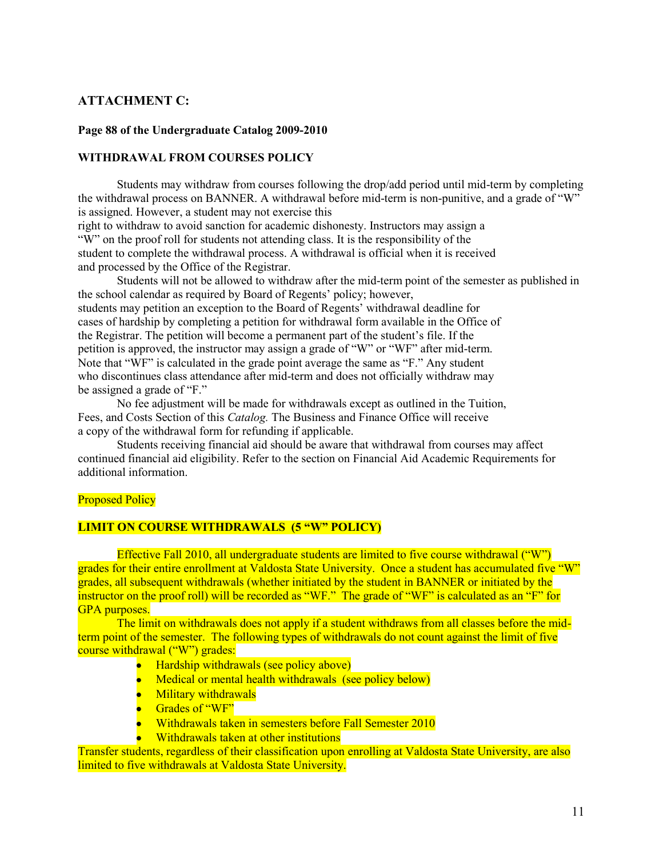## **ATTACHMENT C:**

#### **Page 88 of the Undergraduate Catalog 2009-2010**

#### **WITHDRAWAL FROM COURSES POLICY**

Students may withdraw from courses following the drop/add period until mid-term by completing the withdrawal process on BANNER. A withdrawal before mid-term is non-punitive, and a grade of "W" is assigned. However, a student may not exercise this

right to withdraw to avoid sanction for academic dishonesty. Instructors may assign a "W" on the proof roll for students not attending class. It is the responsibility of the student to complete the withdrawal process. A withdrawal is official when it is received and processed by the Office of the Registrar.

Students will not be allowed to withdraw after the mid-term point of the semester as published in the school calendar as required by Board of Regents' policy; however, students may petition an exception to the Board of Regents' withdrawal deadline for cases of hardship by completing a petition for withdrawal form available in the Office of the Registrar. The petition will become a permanent part of the student's file. If the petition is approved, the instructor may assign a grade of "W" or "WF" after mid-term. Note that "WF" is calculated in the grade point average the same as "F." Any student who discontinues class attendance after mid-term and does not officially withdraw may be assigned a grade of "F."

No fee adjustment will be made for withdrawals except as outlined in the Tuition, Fees, and Costs Section of this *Catalog.* The Business and Finance Office will receive a copy of the withdrawal form for refunding if applicable.

Students receiving financial aid should be aware that withdrawal from courses may affect continued financial aid eligibility. Refer to the section on Financial Aid Academic Requirements for additional information.

#### Proposed Policy

#### **LIMIT ON COURSE WITHDRAWALS (5 "W" POLICY)**

Effective Fall 2010, all undergraduate students are limited to five course withdrawal ("W") grades for their entire enrollment at Valdosta State University. Once a student has accumulated five "W" grades, all subsequent withdrawals (whether initiated by the student in BANNER or initiated by the instructor on the proof roll) will be recorded as "WF." The grade of "WF" is calculated as an "F" for GPA purposes.

The limit on withdrawals does not apply if a student withdraws from all classes before the midterm point of the semester. The following types of withdrawals do not count against the limit of five course withdrawal ("W") grades:

- Hardship withdrawals (see policy above)
- Medical or mental health withdrawals (see policy below)
- Military withdrawals
- Grades of "WF"
- Withdrawals taken in semesters before Fall Semester 2010
- Withdrawals taken at other institutions

Transfer students, regardless of their classification upon enrolling at Valdosta State University, are also limited to five withdrawals at Valdosta State University.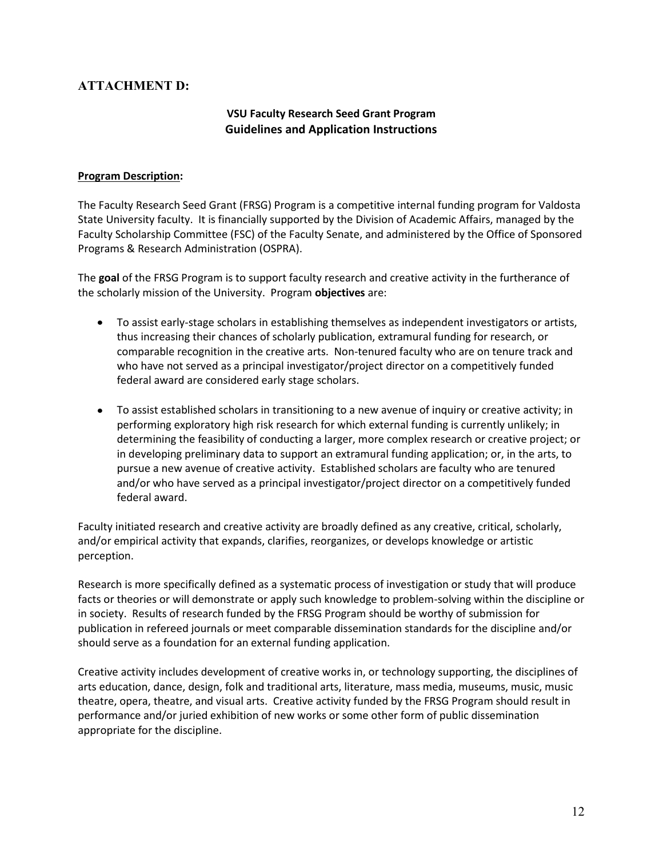# **ATTACHMENT D:**

### **VSU Faculty Research Seed Grant Program Guidelines and Application Instructions**

#### **Program Description:**

The Faculty Research Seed Grant (FRSG) Program is a competitive internal funding program for Valdosta State University faculty. It is financially supported by the Division of Academic Affairs, managed by the Faculty Scholarship Committee (FSC) of the Faculty Senate, and administered by the Office of Sponsored Programs & Research Administration (OSPRA).

The **goal** of the FRSG Program is to support faculty research and creative activity in the furtherance of the scholarly mission of the University. Program **objectives** are:

- To assist early-stage scholars in establishing themselves as independent investigators or artists, thus increasing their chances of scholarly publication, extramural funding for research, or comparable recognition in the creative arts. Non-tenured faculty who are on tenure track and who have not served as a principal investigator/project director on a competitively funded federal award are considered early stage scholars.
- To assist established scholars in transitioning to a new avenue of inquiry or creative activity; in performing exploratory high risk research for which external funding is currently unlikely; in determining the feasibility of conducting a larger, more complex research or creative project; or in developing preliminary data to support an extramural funding application; or, in the arts, to pursue a new avenue of creative activity. Established scholars are faculty who are tenured and/or who have served as a principal investigator/project director on a competitively funded federal award.

Faculty initiated research and creative activity are broadly defined as any creative, critical, scholarly, and/or empirical activity that expands, clarifies, reorganizes, or develops knowledge or artistic perception.

Research is more specifically defined as a systematic process of investigation or study that will produce facts or theories or will demonstrate or apply such knowledge to problem-solving within the discipline or in society. Results of research funded by the FRSG Program should be worthy of submission for publication in refereed journals or meet comparable dissemination standards for the discipline and/or should serve as a foundation for an external funding application.

Creative activity includes development of creative works in, or technology supporting, the disciplines of arts education, dance, design, folk and traditional arts, literature, mass media, museums, music, music theatre, opera, theatre, and visual arts. Creative activity funded by the FRSG Program should result in performance and/or juried exhibition of new works or some other form of public dissemination appropriate for the discipline.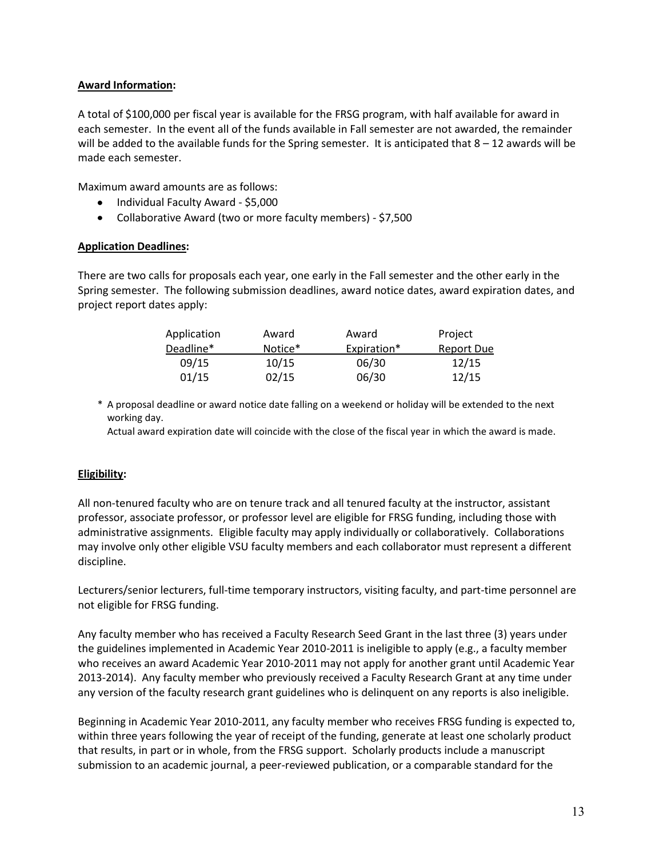#### **Award Information:**

A total of \$100,000 per fiscal year is available for the FRSG program, with half available for award in each semester. In the event all of the funds available in Fall semester are not awarded, the remainder will be added to the available funds for the Spring semester. It is anticipated that  $8 - 12$  awards will be made each semester.

Maximum award amounts are as follows:

- Individual Faculty Award \$5,000
- Collaborative Award (two or more faculty members) \$7,500

#### **Application Deadlines:**

There are two calls for proposals each year, one early in the Fall semester and the other early in the Spring semester. The following submission deadlines, award notice dates, award expiration dates, and project report dates apply:

| Award   | Award       | Project           |
|---------|-------------|-------------------|
| Notice* | Expiration* | <b>Report Due</b> |
| 10/15   | 06/30       | 12/15             |
| 02/15   | 06/30       | 12/15             |
|         |             |                   |

\* A proposal deadline or award notice date falling on a weekend or holiday will be extended to the next working day.

Actual award expiration date will coincide with the close of the fiscal year in which the award is made.

#### **Eligibility:**

All non-tenured faculty who are on tenure track and all tenured faculty at the instructor, assistant professor, associate professor, or professor level are eligible for FRSG funding, including those with administrative assignments. Eligible faculty may apply individually or collaboratively. Collaborations may involve only other eligible VSU faculty members and each collaborator must represent a different discipline.

Lecturers/senior lecturers, full-time temporary instructors, visiting faculty, and part-time personnel are not eligible for FRSG funding.

Any faculty member who has received a Faculty Research Seed Grant in the last three (3) years under the guidelines implemented in Academic Year 2010-2011 is ineligible to apply (e.g., a faculty member who receives an award Academic Year 2010-2011 may not apply for another grant until Academic Year 2013-2014). Any faculty member who previously received a Faculty Research Grant at any time under any version of the faculty research grant guidelines who is delinquent on any reports is also ineligible.

Beginning in Academic Year 2010-2011, any faculty member who receives FRSG funding is expected to, within three years following the year of receipt of the funding, generate at least one scholarly product that results, in part or in whole, from the FRSG support. Scholarly products include a manuscript submission to an academic journal, a peer-reviewed publication, or a comparable standard for the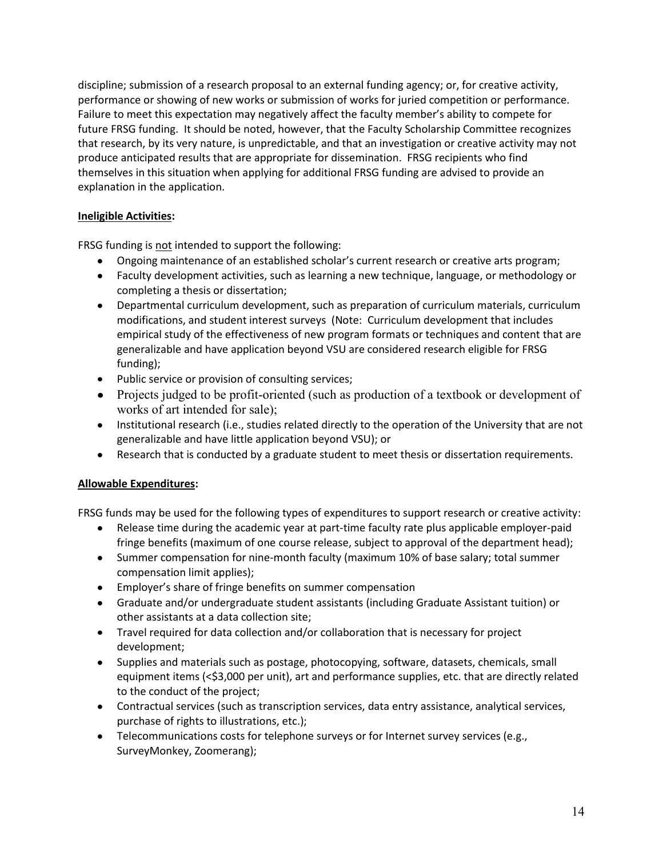discipline; submission of a research proposal to an external funding agency; or, for creative activity, performance or showing of new works or submission of works for juried competition or performance. Failure to meet this expectation may negatively affect the faculty member's ability to compete for future FRSG funding. It should be noted, however, that the Faculty Scholarship Committee recognizes that research, by its very nature, is unpredictable, and that an investigation or creative activity may not produce anticipated results that are appropriate for dissemination. FRSG recipients who find themselves in this situation when applying for additional FRSG funding are advised to provide an explanation in the application.

#### **Ineligible Activities:**

FRSG funding is not intended to support the following:

- Ongoing maintenance of an established scholar's current research or creative arts program;
- Faculty development activities, such as learning a new technique, language, or methodology or completing a thesis or dissertation;
- Departmental curriculum development, such as preparation of curriculum materials, curriculum modifications, and student interest surveys (Note: Curriculum development that includes empirical study of the effectiveness of new program formats or techniques and content that are generalizable and have application beyond VSU are considered research eligible for FRSG funding);
- Public service or provision of consulting services;
- Projects judged to be profit-oriented (such as production of a textbook or development of works of art intended for sale);
- Institutional research (i.e., studies related directly to the operation of the University that are not generalizable and have little application beyond VSU); or
- Research that is conducted by a graduate student to meet thesis or dissertation requirements.

#### **Allowable Expenditures:**

FRSG funds may be used for the following types of expenditures to support research or creative activity:

- Release time during the academic year at part-time faculty rate plus applicable employer-paid fringe benefits (maximum of one course release, subject to approval of the department head);
- Summer compensation for nine-month faculty (maximum 10% of base salary; total summer compensation limit applies);
- Employer's share of fringe benefits on summer compensation
- Graduate and/or undergraduate student assistants (including Graduate Assistant tuition) or other assistants at a data collection site;
- Travel required for data collection and/or collaboration that is necessary for project development;
- Supplies and materials such as postage, photocopying, software, datasets, chemicals, small equipment items (<\$3,000 per unit), art and performance supplies, etc. that are directly related to the conduct of the project;
- Contractual services (such as transcription services, data entry assistance, analytical services, purchase of rights to illustrations, etc.);
- Telecommunications costs for telephone surveys or for Internet survey services (e.g., SurveyMonkey, Zoomerang);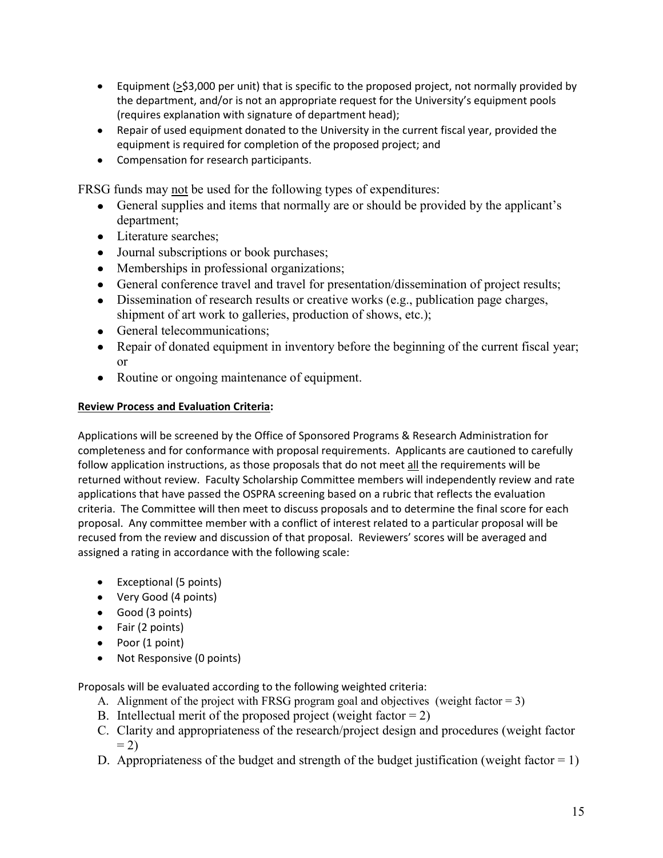- **Equipment (** $\geq$ **\$3,000 per unit) that is specific to the proposed project, not normally provided by** the department, and/or is not an appropriate request for the University's equipment pools (requires explanation with signature of department head);
- Repair of used equipment donated to the University in the current fiscal year, provided the equipment is required for completion of the proposed project; and
- Compensation for research participants.

FRSG funds may not be used for the following types of expenditures:

- General supplies and items that normally are or should be provided by the applicant's department;
- Literature searches;
- Journal subscriptions or book purchases;
- Memberships in professional organizations;
- General conference travel and travel for presentation/dissemination of project results;
- Dissemination of research results or creative works (e.g., publication page charges, shipment of art work to galleries, production of shows, etc.);
- General telecommunications;
- Repair of donated equipment in inventory before the beginning of the current fiscal year; or
- Routine or ongoing maintenance of equipment.

#### **Review Process and Evaluation Criteria:**

Applications will be screened by the Office of Sponsored Programs & Research Administration for completeness and for conformance with proposal requirements. Applicants are cautioned to carefully follow application instructions, as those proposals that do not meet all the requirements will be returned without review. Faculty Scholarship Committee members will independently review and rate applications that have passed the OSPRA screening based on a rubric that reflects the evaluation criteria. The Committee will then meet to discuss proposals and to determine the final score for each proposal. Any committee member with a conflict of interest related to a particular proposal will be recused from the review and discussion of that proposal. Reviewers' scores will be averaged and assigned a rating in accordance with the following scale:

- Exceptional (5 points)
- Very Good (4 points)
- Good (3 points)
- Fair (2 points)
- Poor (1 point)
- Not Responsive (0 points)

Proposals will be evaluated according to the following weighted criteria:

- A. Alignment of the project with FRSG program goal and objectives (weight factor  $= 3$ )
- B. Intellectual merit of the proposed project (weight factor  $= 2$ )
- C. Clarity and appropriateness of the research/project design and procedures (weight factor  $= 2$
- D. Appropriateness of the budget and strength of the budget justification (weight factor  $= 1$ )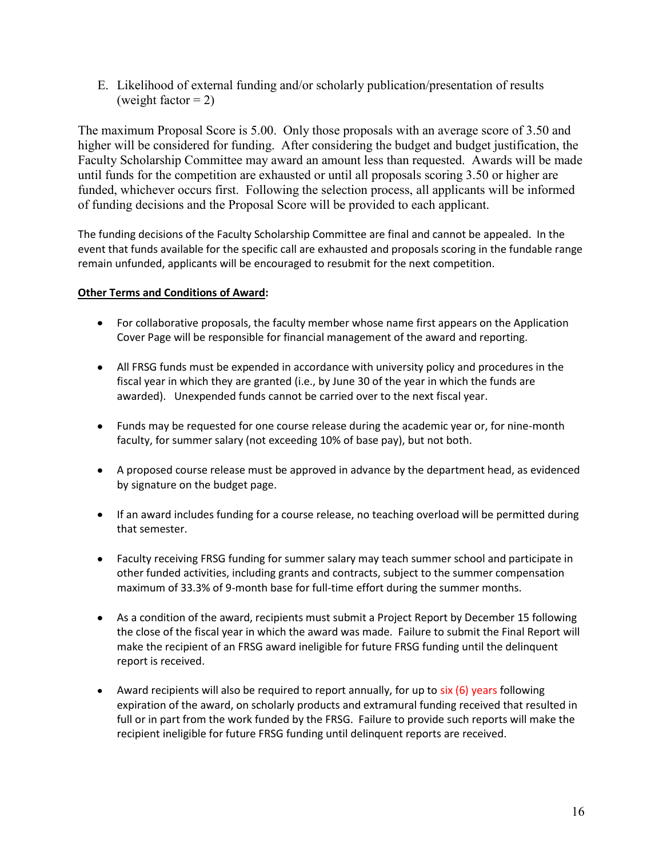E. Likelihood of external funding and/or scholarly publication/presentation of results (weight factor  $= 2$ )

The maximum Proposal Score is 5.00. Only those proposals with an average score of 3.50 and higher will be considered for funding. After considering the budget and budget justification, the Faculty Scholarship Committee may award an amount less than requested. Awards will be made until funds for the competition are exhausted or until all proposals scoring 3.50 or higher are funded, whichever occurs first. Following the selection process, all applicants will be informed of funding decisions and the Proposal Score will be provided to each applicant.

The funding decisions of the Faculty Scholarship Committee are final and cannot be appealed. In the event that funds available for the specific call are exhausted and proposals scoring in the fundable range remain unfunded, applicants will be encouraged to resubmit for the next competition.

## **Other Terms and Conditions of Award:**

- For collaborative proposals, the faculty member whose name first appears on the Application Cover Page will be responsible for financial management of the award and reporting.
- All FRSG funds must be expended in accordance with university policy and procedures in the fiscal year in which they are granted (i.e., by June 30 of the year in which the funds are awarded). Unexpended funds cannot be carried over to the next fiscal year.
- Funds may be requested for one course release during the academic year or, for nine-month faculty, for summer salary (not exceeding 10% of base pay), but not both.
- A proposed course release must be approved in advance by the department head, as evidenced by signature on the budget page.
- If an award includes funding for a course release, no teaching overload will be permitted during that semester.
- Faculty receiving FRSG funding for summer salary may teach summer school and participate in other funded activities, including grants and contracts, subject to the summer compensation maximum of 33.3% of 9-month base for full-time effort during the summer months.
- As a condition of the award, recipients must submit a Project Report by December 15 following the close of the fiscal year in which the award was made. Failure to submit the Final Report will make the recipient of an FRSG award ineligible for future FRSG funding until the delinquent report is received.
- Award recipients will also be required to report annually, for up to  $six(6)$  years following expiration of the award, on scholarly products and extramural funding received that resulted in full or in part from the work funded by the FRSG. Failure to provide such reports will make the recipient ineligible for future FRSG funding until delinquent reports are received.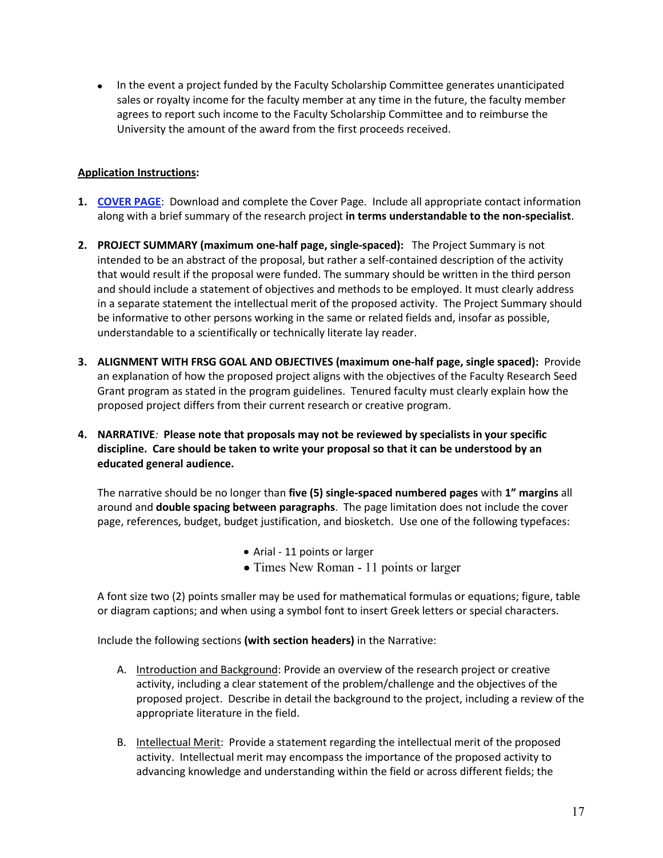• In the event a project funded by the Faculty Scholarship Committee generates unanticipated sales or royalty income for the faculty member at any time in the future, the faculty member agrees to report such income to the Faculty Scholarship Committee and to reimburse the University the amount of the award from the first proceeds received.

#### **Application Instructions:**

- **1. [COVER PAGE](http://www.siue.edu/graduate/internalgrants/pdf/2010_STEP_Cover_Fillable__4_.pdf)**: Download and complete the Cover Page. Include all appropriate contact information along with a brief summary of the research project **in terms understandable to the non-specialist**.
- **2. PROJECT SUMMARY (maximum one-half page, single-spaced):** The Project Summary is not intended to be an abstract of the proposal, but rather a self-contained description of the activity that would result if the proposal were funded. The summary should be written in the third person and should include a statement of objectives and methods to be employed. It must clearly address in a separate statement the intellectual merit of the proposed activity. The Project Summary should be informative to other persons working in the same or related fields and, insofar as possible, understandable to a scientifically or technically literate lay reader.
- **3. ALIGNMENT WITH FRSG GOAL AND OBJECTIVES (maximum one-half page, single spaced):** Provide an explanation of how the proposed project aligns with the objectives of the Faculty Research Seed Grant program as stated in the program guidelines. Tenured faculty must clearly explain how the proposed project differs from their current research or creative program.
- **4. NARRATIVE***:* **Please note that proposals may not be reviewed by specialists in your specific discipline. Care should be taken to write your proposal so that it can be understood by an educated general audience.**

 The narrative should be no longer than **five (5) single-spaced numbered pages** with **1" margins** all around and **double spacing between paragraphs**. The page limitation does not include the cover page, references, budget, budget justification, and biosketch. Use one of the following typefaces:

- Arial 11 points or larger
- Times New Roman 11 points or larger

A font size two (2) points smaller may be used for mathematical formulas or equations; figure, table or diagram captions; and when using a symbol font to insert Greek letters or special characters.

Include the following sections **(with section headers)** in the Narrative:

- A. Introduction and Background: Provide an overview of the research project or creative activity, including a clear statement of the problem/challenge and the objectives of the proposed project. Describe in detail the background to the project, including a review of the appropriate literature in the field.
- B. Intellectual Merit: Provide a statement regarding the intellectual merit of the proposed activity. Intellectual merit may encompass the importance of the proposed activity to advancing knowledge and understanding within the field or across different fields; the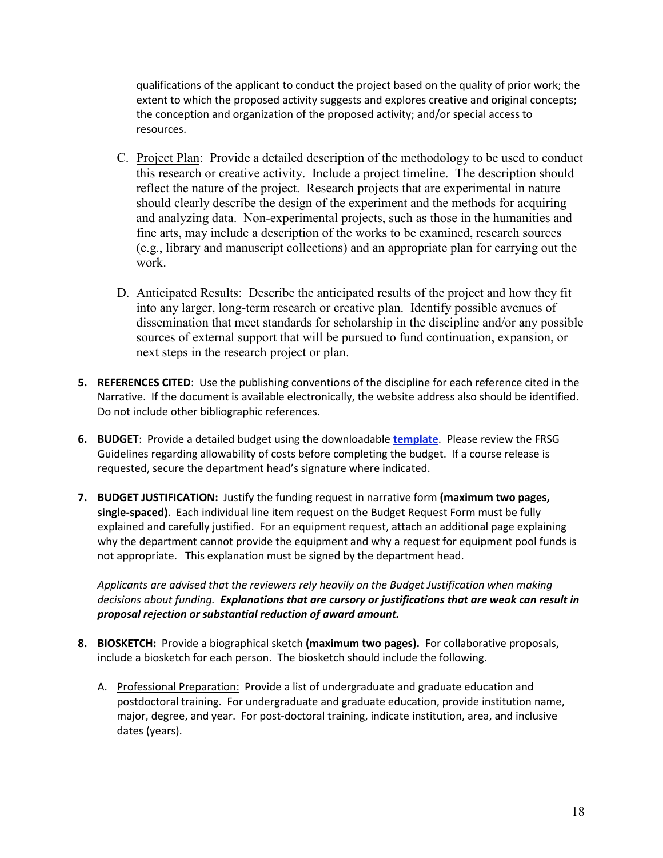qualifications of the applicant to conduct the project based on the quality of prior work; the extent to which the proposed activity suggests and explores creative and original concepts; the conception and organization of the proposed activity; and/or special access to resources.

- C. Project Plan: Provide a detailed description of the methodology to be used to conduct this research or creative activity. Include a project timeline. The description should reflect the nature of the project. Research projects that are experimental in nature should clearly describe the design of the experiment and the methods for acquiring and analyzing data. Non-experimental projects, such as those in the humanities and fine arts, may include a description of the works to be examined, research sources (e.g., library and manuscript collections) and an appropriate plan for carrying out the work.
- D. Anticipated Results: Describe the anticipated results of the project and how they fit into any larger, long-term research or creative plan. Identify possible avenues of dissemination that meet standards for scholarship in the discipline and/or any possible sources of external support that will be pursued to fund continuation, expansion, or next steps in the research project or plan.
- **5. REFERENCES CITED**: Use the publishing conventions of the discipline for each reference cited in the Narrative. If the document is available electronically, the website address also should be identified. Do not include other bibliographic references.
- **6. BUDGET**: Provide a detailed budget using the downloadable **template**. Please review the FRSG Guidelines regarding allowability of costs before completing the budget. If a course release is requested, secure the department head's signature where indicated.
- **7. BUDGET JUSTIFICATION:** Justify the funding request in narrative form **(maximum two pages, single-spaced)**. Each individual line item request on the Budget Request Form must be fully explained and carefully justified. For an equipment request, attach an additional page explaining why the department cannot provide the equipment and why a request for equipment pool funds is not appropriate. This explanation must be signed by the department head.

*Applicants are advised that the reviewers rely heavily on the Budget Justification when making decisions about funding. Explanations that are cursory or justifications that are weak can result in proposal rejection or substantial reduction of award amount.* 

- **8. BIOSKETCH:** Provide a biographical sketch **(maximum two pages).** For collaborative proposals, include a biosketch for each person. The biosketch should include the following.
	- A. Professional Preparation: Provide a list of undergraduate and graduate education and postdoctoral training. For undergraduate and graduate education, provide institution name, major, degree, and year. For post-doctoral training, indicate institution, area, and inclusive dates (years).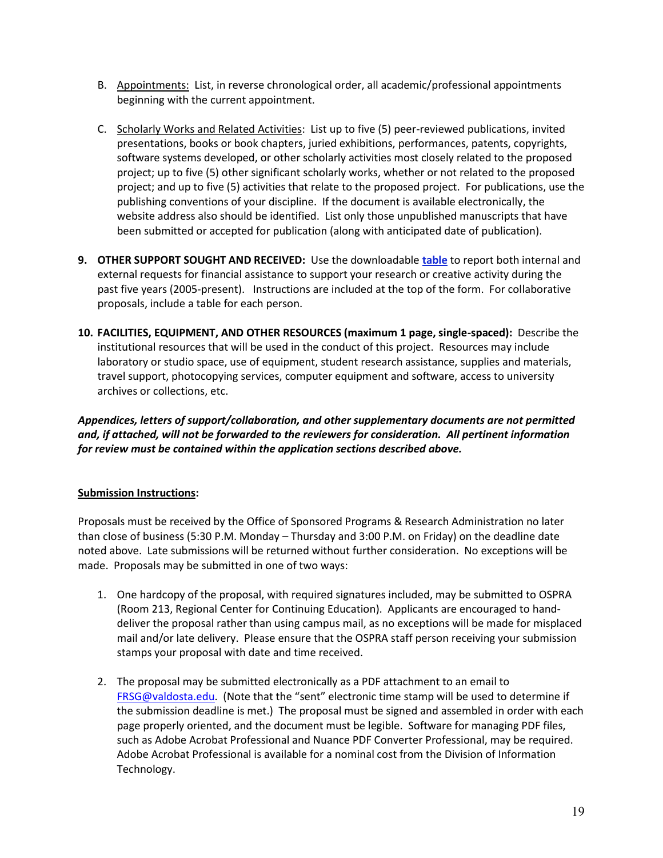- B. Appointments: List, in reverse chronological order, all academic/professional appointments beginning with the current appointment.
- C. Scholarly Works and Related Activities: List up to five (5) peer-reviewed publications, invited presentations, books or book chapters, juried exhibitions, performances, patents, copyrights, software systems developed, or other scholarly activities most closely related to the proposed project; up to five (5) other significant scholarly works, whether or not related to the proposed project; and up to five (5) activities that relate to the proposed project. For publications, use the publishing conventions of your discipline. If the document is available electronically, the website address also should be identified. List only those unpublished manuscripts that have been submitted or accepted for publication (along with anticipated date of publication).
- **9. OTHER SUPPORT SOUGHT AND RECEIVED:** Use the downloadable **table** to report both internal and external requests for financial assistance to support your research or creative activity during the past five years (2005-present). Instructions are included at the top of the form. For collaborative proposals, include a table for each person.
- **10. FACILITIES, EQUIPMENT, AND OTHER RESOURCES (maximum 1 page, single-spaced):** Describe the institutional resources that will be used in the conduct of this project. Resources may include laboratory or studio space, use of equipment, student research assistance, supplies and materials, travel support, photocopying services, computer equipment and software, access to university archives or collections, etc.

*Appendices, letters of support/collaboration, and other supplementary documents are not permitted and, if attached, will not be forwarded to the reviewers for consideration. All pertinent information for review must be contained within the application sections described above.* 

#### **Submission Instructions:**

Proposals must be received by the Office of Sponsored Programs & Research Administration no later than close of business (5:30 P.M. Monday – Thursday and 3:00 P.M. on Friday) on the deadline date noted above. Late submissions will be returned without further consideration. No exceptions will be made. Proposals may be submitted in one of two ways:

- 1. One hardcopy of the proposal, with required signatures included, may be submitted to OSPRA (Room 213, Regional Center for Continuing Education). Applicants are encouraged to handdeliver the proposal rather than using campus mail, as no exceptions will be made for misplaced mail and/or late delivery. Please ensure that the OSPRA staff person receiving your submission stamps your proposal with date and time received.
- 2. The proposal may be submitted electronically as a PDF attachment to an email to [FRSG@valdosta.edu.](mailto:FRSG@valdosta.edu) (Note that the "sent" electronic time stamp will be used to determine if the submission deadline is met.) The proposal must be signed and assembled in order with each page properly oriented, and the document must be legible. Software for managing PDF files, such as Adobe Acrobat Professional and Nuance PDF Converter Professional, may be required. Adobe Acrobat Professional is available for a nominal cost from the Division of Information Technology.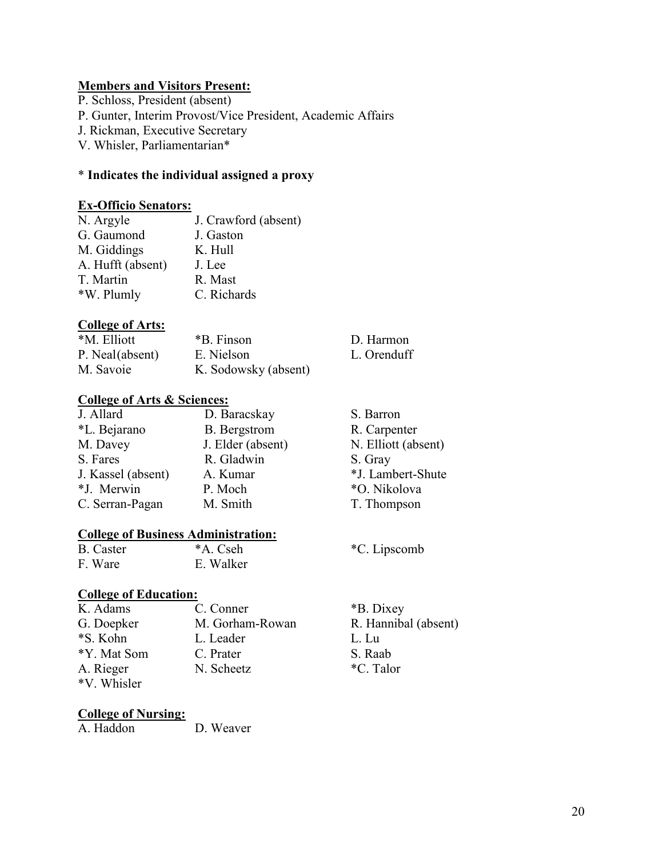# **Members and Visitors Present:**

P. Schloss, President (absent)

P. Gunter, Interim Provost/Vice President, Academic Affairs

J. Rickman, Executive Secretary

V. Whisler, Parliamentarian\*

# \* **Indicates the individual assigned a proxy**

# **Ex-Officio Senators:**

| J. Crawford (absent) |
|----------------------|
| J. Gaston            |
| K. Hull              |
| J. Lee               |
| R. Mast              |
| C. Richards          |
|                      |

# **College of Arts:**

| Conce of the co. |                      |             |
|------------------|----------------------|-------------|
| *M. Elliott      | *B. Finson           | D. Harmon   |
| P. Neal(absent)  | E. Nielson           | L. Orenduff |
| M. Savoie        | K. Sodowsky (absent) |             |

# **College of Arts & Sciences:**

| J. Allard          | D. Baracskay        | S. Barron           |
|--------------------|---------------------|---------------------|
| *L. Bejarano       | <b>B.</b> Bergstrom | R. Carpenter        |
| M. Davey           | J. Elder (absent)   | N. Elliott (absent) |
| S. Fares           | R. Gladwin          | S. Gray             |
| J. Kassel (absent) | A. Kumar            | *J. Lambert-Shute   |
| *J. Merwin         | P. Moch             | *O. Nikolova        |
| C. Serran-Pagan    | M. Smith            | T. Thompson         |

# **College of Business Administration:**

| B. Caster | *A. Cseh  |
|-----------|-----------|
| F. Ware   | E. Walker |

# **College of Education:**

| K. Adams    | C. Conner       | *B. Dixey            |
|-------------|-----------------|----------------------|
| G. Doepker  | M. Gorham-Rowan | R. Hannibal (absent) |
| *S. Kohn    | L. Leader       | L. Lu                |
| *Y. Mat Som | C. Prater       | S. Raab              |
| A. Rieger   | N. Scheetz      | *C. Talor            |
| *V. Whisler |                 |                      |

# **College of Nursing:**

D. Weaver

L. Orenduff

\*C. Lipscomb